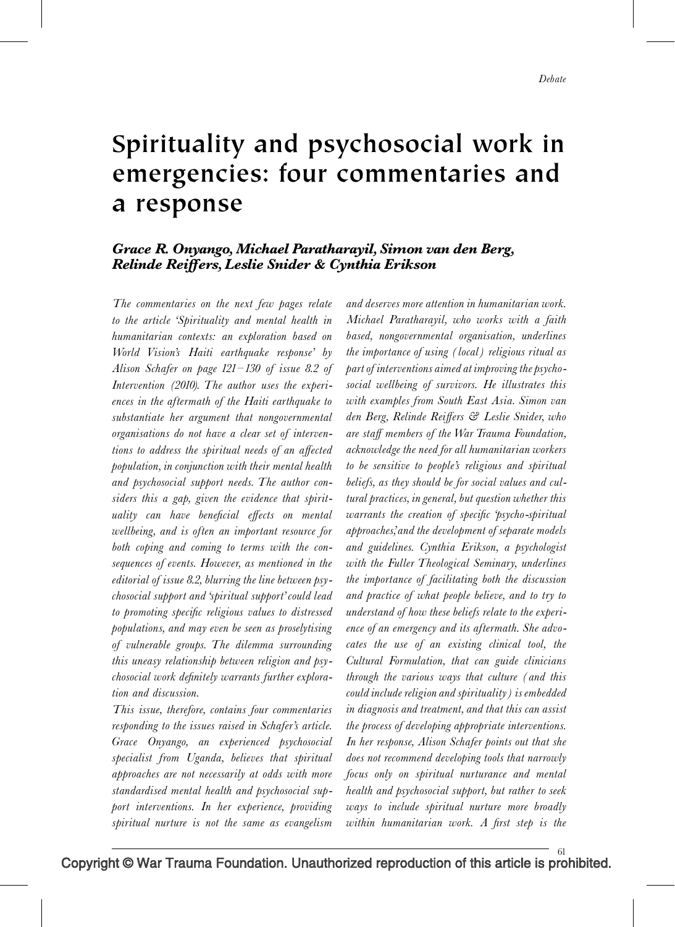## Spirituality and psychosocial work in emergencies: four commentaries and a response

### Grace R. Onyango, Michael Paratharayil, Simon van den Berg, Relinde Reiffers, Leslie Snider & Cynthia Erikson

The commentaries on the next few pages relate to the article 'Spirituality and mental health in humanitarian contexts: an exploration based on World Vision's Haiti earthquake response' by Alison Schafer on page  $121-130$  of issue 8.2 of Intervention (2010). The author uses the experiences in the aftermath of the Haiti earthquake to substantiate her argument that nongovernmental organisations do not have a clear set of interventions to address the spiritual needs of an affected population, in conjunction with their mental health and psychosocial support needs. The author considers this a gap, given the evidence that spirituality can have beneficial effects on mental wellbeing, and is often an important resource for both coping and coming to terms with the consequences of events. However, as mentioned in the editorial of issue 8.2, blurring the line between psychosocial support and 'spiritual support'could lead to promoting specific religious values to distressed populations, and may even be seen as proselytising of vulnerable groups. The dilemma surrounding this uneasy relationship between religion and psychosocial work definitely warrants further exploration and discussion.

This issue, therefore, contains four commentaries responding to the issues raised in Schafer's article. Grace Onyango, an experienced psychosocial specialist from Uganda, believes that spiritual approaches are not necessarily at odds with more standardised mental health and psychosocial support interventions. In her experience, providing spiritual nurture is not the same as evangelism

and deserves more attention in humanitarian work. Michael Paratharayil, who works with a faith based, nongovernmental organisation, underlines the importance of using (local) religious ritual as part of interventions aimed at improving the psychosocial wellbeing of survivors. He illustrates this with examples from South East Asia. Simon van den Berg, Relinde Reiffers & Leslie Snider, who are staff members of the War Trauma Foundation, acknowledge the need for all humanitarian workers to be sensitive to people's religious and spiritual beliefs, as they should be for social values and cultural practices, in general, but question whether this warrants the creation of specific 'psycho-spiritual approaches,'and the development of separate models and guidelines. Cynthia Erikson, a psychologist with the Fuller Theological Seminary, underlines the importance of facilitating both the discussion and practice of what people believe, and to try to understand of how these beliefs relate to the experience of an emergency and its aftermath. She advocates the use of an existing clinical tool, the Cultural Formulation, that can guide clinicians through the various ways that culture (and this could include religion and spirituality) is embedded in diagnosis and treatment, and that this can assist the process of developing appropriate interventions. In her response, Alison Schafer points out that she does not recommend developing tools that narrowly focus only on spiritual nurturance and mental health and psychosocial support, but rather to seek ways to include spiritual nurture more broadly within humanitarian work. A first step is the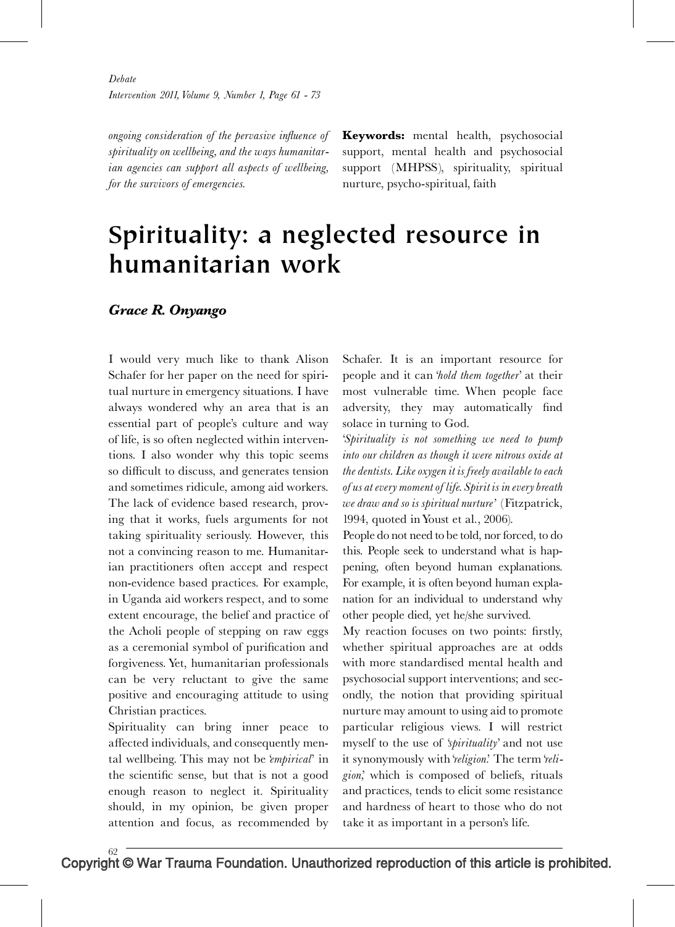ongoing consideration of the pervasive influence of spirituality on wellbeing, and the ways humanitarian agencies can support all aspects of wellbeing, for the survivors of emergencies.

Keywords: mental health, psychosocial support, mental health and psychosocial support (MHPSS), spirituality, spiritual nurture, psycho-spiritual, faith

## Spirituality: a neglected resource in humanitarian work

### Grace R. Onyango

I would very much like to thank Alison Schafer for her paper on the need for spiritual nurture in emergency situations. I have always wondered why an area that is an essential part of people's culture and way of life, is so often neglected within interventions. I also wonder why this topic seems so difficult to discuss, and generates tension and sometimes ridicule, among aid workers. The lack of evidence based research, proving that it works, fuels arguments for not taking spirituality seriously. However, this not a convincing reason to me. Humanitarian practitioners often accept and respect non-evidence based practices. For example, in Uganda aid workers respect, and to some extent encourage, the belief and practice of the Acholi people of stepping on raw eggs as a ceremonial symbol of purification and forgiveness. Yet, humanitarian professionals can be very reluctant to give the same positive and encouraging attitude to using Christian practices.

Spirituality can bring inner peace to affected individuals, and consequently mental wellbeing. This may not be 'empirical' in the scientific sense, but that is not a good enough reason to neglect it. Spirituality should, in my opinion, be given proper attention and focus, as recommended by

Schafer. It is an important resource for people and it can 'hold them together' at their most vulnerable time. When people face adversity, they may automatically find solace in turning to God.

'Spirituality is not something we need to pump into our children as though it were nitrous oxide at the dentists. Like oxygen it is freely available to each of us at every moment of life. Spirit is in every breath we draw and so is spiritual nurture' (Fitzpatrick, 1994, quoted in [Youst et al., 2006\)](#page-12-0).

People do not need to be told, nor forced, to do this. People seek to understand what is happening, often beyond human explanations. For example, it is often beyond human explanation for an individual to understand why other people died, yet he/she survived.

My reaction focuses on two points: firstly, whether spiritual approaches are at odds with more standardised mental health and psychosocial support interventions; and secondly, the notion that providing spiritual nurture may amount to using aid to promote particular religious views. I will restrict myself to the use of 'spirituality' and not use it synonymously with 'religion'. The term 'religion,' which is composed of beliefs, rituals and practices, tends to elicit some resistance and hardness of heart to those who do not take it as important in a person's life.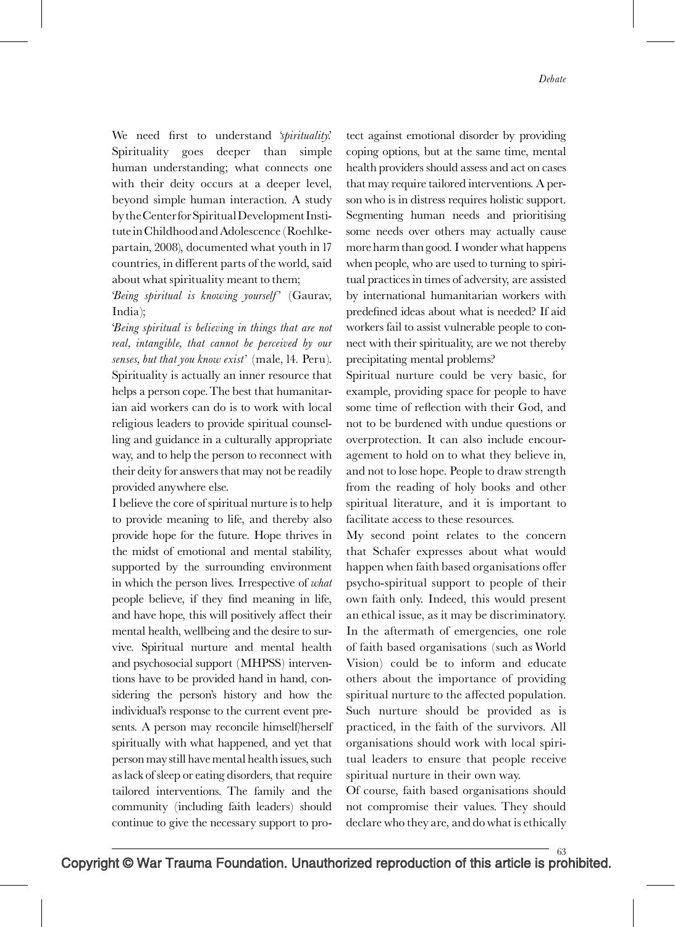We need first to understand 'spirituality'. Spirituality goes deeper than simple human understanding; what connects one with their deity occurs at a deeper level, beyond simple human interaction. A study by the Center for Spiritual Development InstituteinChildhoodandAdolescence (Roehlkepartain, 2008), documented what youth in 17 countries, in different parts of the world, said about what spirituality meant to them;

'Being spiritual is knowing yourself' (Gaurav, India);

'Being spiritual is believing in things that are not real, intangible, that cannot be perceived by our senses, but that you know exist' (male, 14. Peru). Spirituality is actually an inner resource that helps a person cope.The best that humanitarian aid workers can do is to work with local religious leaders to provide spiritual counselling and guidance in a culturally appropriate way, and to help the person to reconnect with their deity for answers that may not be readily provided anywhere else.

I believe the core of spiritual nurture is to help to provide meaning to life, and thereby also provide hope for the future. Hope thrives in the midst of emotional and mental stability, supported by the surrounding environment in which the person lives. Irrespective of what people believe, if they find meaning in life, and have hope, this will positively affect their mental health, wellbeing and the desire to survive. Spiritual nurture and mental health and psychosocial support (MHPSS) interventions have to be provided hand in hand, considering the person's history and how the individual's response to the current event presents. A person may reconcile himself/herself spiritually with what happened, and yet that person may still have mental health issues, such as lack of sleep or eating disorders, that require tailored interventions. The family and the community (including faith leaders) should continue to give the necessary support to pro-

tect against emotional disorder by providing coping options, but at the same time, mental health providers should assess and act on cases that may require tailored interventions. A person who is in distress requires holistic support. Segmenting human needs and prioritising some needs over others may actually cause more harm than good. I wonder what happens when people, who are used to turning to spiritual practices in times of adversity, are assisted by international humanitarian workers with predefined ideas about what is needed? If aid workers fail to assist vulnerable people to connect with their spirituality, are we not thereby precipitating mental problems?

Spiritual nurture could be very basic, for example, providing space for people to have some time of reflection with their God, and not to be burdened with undue questions or overprotection. It can also include encouragement to hold on to what they believe in, and not to lose hope. People to draw strength from the reading of holy books and other spiritual literature, and it is important to facilitate access to these resources.

My second point relates to the concern that Schafer expresses about what would happen when faith based organisations offer psycho-spiritual support to people of their own faith only. Indeed, this would present an ethical issue, as it may be discriminatory. In the aftermath of emergencies, one role of faith based organisations (such as World Vision) could be to inform and educate others about the importance of providing spiritual nurture to the affected population. Such nurture should be provided as is practiced, in the faith of the survivors. All organisations should work with local spiritual leaders to ensure that people receive spiritual nurture in their own way.

Of course, faith based organisations should not compromise their values. They should declare who they are, and do what is ethically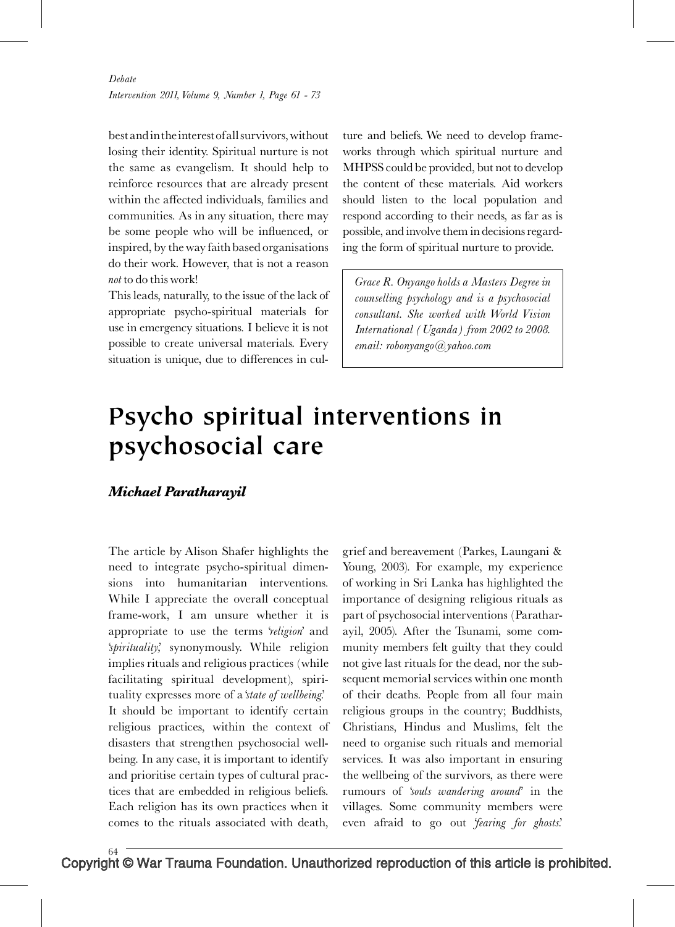bestandintheinterestofall survivors,without losing their identity. Spiritual nurture is not the same as evangelism. It should help to reinforce resources that are already present within the affected individuals, families and communities. As in any situation, there may be some people who will be influenced, or inspired, by the way faith based organisations do their work. However, that is not a reason not to do this work!

This leads, naturally, to the issue of the lack of appropriate psycho-spiritual materials for use in emergency situations. I believe it is not possible to create universal materials. Every situation is unique, due to differences in cul-

ture and beliefs. We need to develop frameworks through which spiritual nurture and MHPSS could be provided, but not to develop the content of these materials. Aid workers should listen to the local population and respond according to their needs, as far as is possible, and involve them in decisions regarding the form of spiritual nurture to provide.

Grace R. Onyango holds a Masters Degree in counselling psychology and is a psychosocial consultant. She worked with World Vision International (Uganda) from 2002 to 2008. email: [robonyango@yahoo.com](mailto:robonyango@yahoo.com)

## Psycho spiritual interventions in psychosocial care

### Michael Paratharayil

The article by Alison Shafer highlights the need to integrate psycho-spiritual dimensions into humanitarian interventions. While I appreciate the overall conceptual frame-work, I am unsure whether it is appropriate to use the terms 'religion' and 'spirituality,' synonymously. While religion implies rituals and religious practices (while facilitating spiritual development), spirituality expresses more of a *'state of wellbeing*.' It should be important to identify certain religious practices, within the context of disasters that strengthen psychosocial wellbeing. In any case, it is important to identify and prioritise certain types of cultural practices that are embedded in religious beliefs. Each religion has its own practices when it comes to the rituals associated with death,

grief and bereavement ([Parkes, Laungani &](#page-12-0) [Young, 2003\)](#page-12-0). For example, my experience of working in Sri Lanka has highlighted the importance of designing religious rituals as part of psychosocial interventions ([Parathar](#page-12-0)[ayil, 2005\)](#page-12-0). After the Tsunami, some community members felt guilty that they could not give last rituals for the dead, nor the subsequent memorial services within one month of their deaths. People from all four main religious groups in the country; Buddhists, Christians, Hindus and Muslims, felt the need to organise such rituals and memorial services. It was also important in ensuring the wellbeing of the survivors, as there were rumours of 'souls wandering around' in the villages. Some community members were even afraid to go out 'fearing for ghosts.'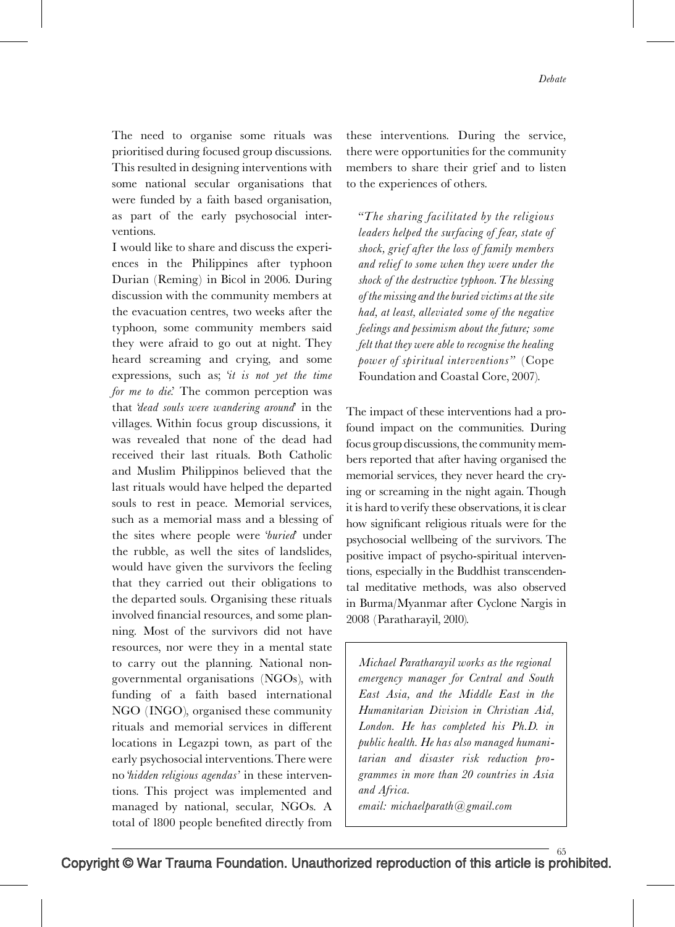The need to organise some rituals was prioritised during focused group discussions. This resulted in designing interventions with some national secular organisations that were funded by a faith based organisation, as part of the early psychosocial interventions.

I would like to share and discuss the experiences in the Philippines after typhoon Durian (Reming) in Bicol in 2006. During discussion with the community members at the evacuation centres, two weeks after the typhoon, some community members said they were afraid to go out at night. They heard screaming and crying, and some expressions, such as; 'it is not yet the time for me to die? The common perception was that 'dead souls were wandering around' in the villages. Within focus group discussions, it was revealed that none of the dead had received their last rituals. Both Catholic and Muslim Philippinos believed that the last rituals would have helped the departed souls to rest in peace. Memorial services, such as a memorial mass and a blessing of the sites where people were 'buried' under the rubble, as well the sites of landslides, would have given the survivors the feeling that they carried out their obligations to the departed souls. Organising these rituals involved financial resources, and some planning. Most of the survivors did not have resources, nor were they in a mental state to carry out the planning. National nongovernmental organisations (NGOs), with funding of a faith based international NGO (INGO), organised these community rituals and memorial services in different locations in Legazpi town, as part of the early psychosocial interventions.There were no 'hidden religious agendas' in these interventions. This project was implemented and managed by national, secular, NGOs. A total of 1800 people benefited directly from these interventions. During the service, there were opportunities for the community members to share their grief and to listen to the experiences of others.

''The sharing facilitated by the religious leaders helped the surfacing of fear, state of shock, grief after the loss of family members and relief to some when they were under the shock of the destructive typhoon.The blessing of the missing and the buried victims at the site had, at least, alleviated some of the negative feelings and pessimism about the future; some felt that they were able to recognise the healing power of spiritual interventions'' ([Cope](#page-12-0) [Foundation and Coastal Core, 2007\)](#page-12-0).

The impact of these interventions had a profound impact on the communities. During focus group discussions, the community members reported that after having organised the memorial services, they never heard the crying or screaming in the night again. Though it is hard to verify these observations, it is clear how significant religious rituals were for the psychosocial wellbeing of the survivors. The positive impact of psycho-spiritual interventions, especially in the Buddhist transcendental meditative methods, was also observed in Burma/Myanmar after Cyclone Nargis in 2008 ([Paratharayil, 2010\)](#page-12-0).

Michael Paratharayil works as the regional emergency manager for Central and South East Asia, and the Middle East in the Humanitarian Division in Christian Aid, London. He has completed his Ph.D. in public health. He has also managed humanitarian and disaster risk reduction programmes in more than 20 countries in Asia and Africa.

email: michaelparath@gmail.com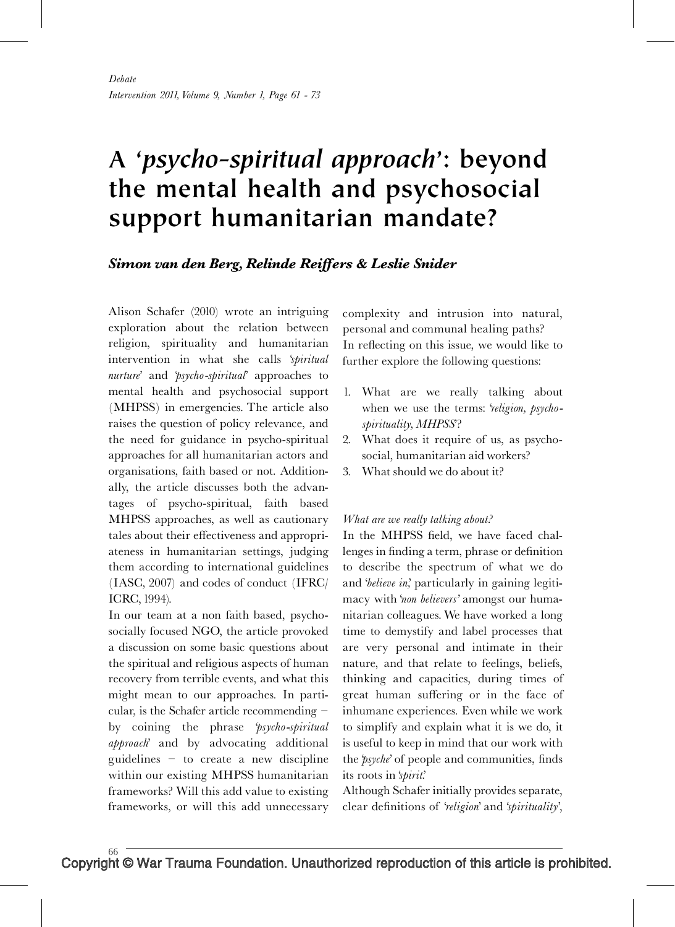# A 'psycho-spiritual approach': beyond the mental health and psychosocial support humanitarian mandate?

### Simon van den Berg, Relinde Reiffers & Leslie Snider

Alison [Schafer \(2010\)](#page-12-0) wrote an intriguing exploration about the relation between religion, spirituality and humanitarian intervention in what she calls 'spiritual nurture' and 'psycho-spiritual' approaches to mental health and psychosocial support (MHPSS) in emergencies. The article also raises the question of policy relevance, and the need for guidance in psycho-spiritual approaches for all humanitarian actors and organisations, faith based or not. Additionally, the article discusses both the advantages of psycho-spiritual, faith based MHPSS approaches, as well as cautionary tales about their effectiveness and appropriateness in humanitarian settings, judging them according to international guidelines ([IASC, 2007\)](#page-12-0) and codes of conduct (IFRC/ ICRC, 1994).

In our team at a non faith based, psychosocially focused NGO, the article provoked a discussion on some basic questions about the spiritual and religious aspects of human recovery from terrible events, and what this might mean to our approaches. In particular, is the Schafer article recommending ^ by coining the phrase 'psycho-spiritual approach' and by advocating additional guidelines  $-$  to create a new discipline within our existing MHPSS humanitarian frameworks? Will this add value to existing frameworks, or will this add unnecessary

complexity and intrusion into natural, personal and communal healing paths? In reflecting on this issue, we would like to further explore the following questions:

- 1. What are we really talking about when we use the terms: 'religion, psychospirituality, MHPSS'?
- 2. What does it require of us, as psychosocial, humanitarian aid workers?
- 3. What should we do about it?

#### What are we really talking about?

In the MHPSS field, we have faced challenges in finding a term, phrase or definition to describe the spectrum of what we do and *believe in*, particularly in gaining legitimacy with 'non believers' amongst our humanitarian colleagues. We have worked a long time to demystify and label processes that are very personal and intimate in their nature, and that relate to feelings, beliefs, thinking and capacities, during times of great human suffering or in the face of inhumane experiences. Even while we work to simplify and explain what it is we do, it is useful to keep in mind that our work with the 'psyche' of people and communities, finds its roots in 'spirit.'

Although Schafer initially provides separate, clear definitions of 'religion' and 'spirituality',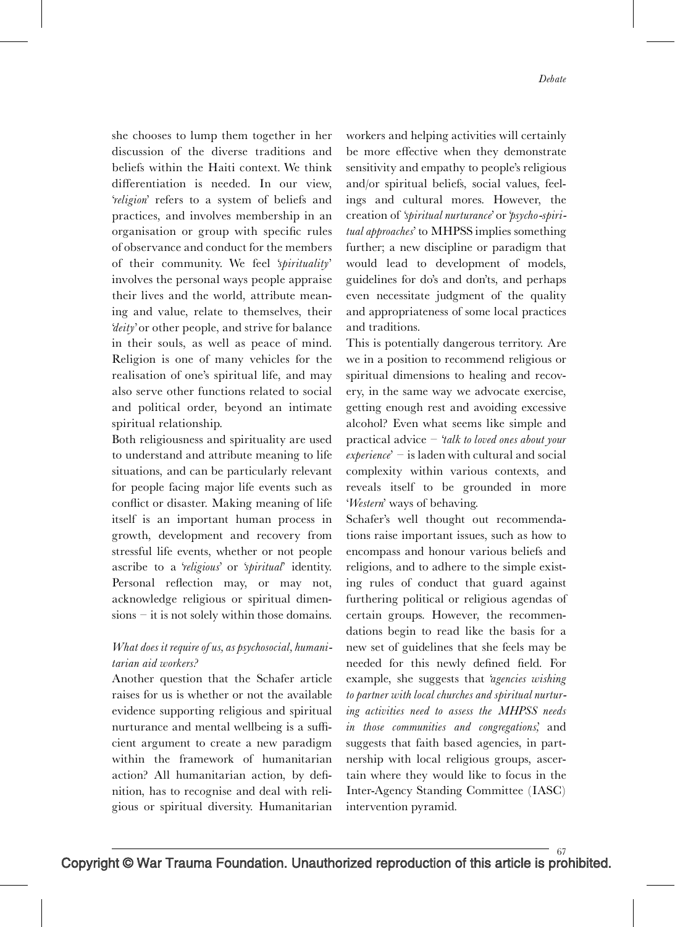she chooses to lump them together in her discussion of the diverse traditions and beliefs within the Haiti context. We think differentiation is needed. In our view, 'religion' refers to a system of beliefs and practices, and involves membership in an organisation or group with specific rules of observance and conduct for the members of their community. We feel 'spirituality' involves the personal ways people appraise their lives and the world, attribute meaning and value, relate to themselves, their 'deity'or other people, and strive for balance in their souls, as well as peace of mind. Religion is one of many vehicles for the realisation of one's spiritual life, and may also serve other functions related to social and political order, beyond an intimate spiritual relationship.

Both religiousness and spirituality are used to understand and attribute meaning to life situations, and can be particularly relevant for people facing major life events such as conflict or disaster. Making meaning of life itself is an important human process in growth, development and recovery from stressful life events, whether or not people ascribe to a 'religious' or 'spiritual' identity. Personal reflection may, or may not, acknowledge religious or spiritual dimen $sions - it$  is not solely within those domains.

#### What does it require of us, as psychosocial, humanitarian aid workers?

Another question that the Schafer article raises for us is whether or not the available evidence supporting religious and spiritual nurturance and mental wellbeing is a sufficient argument to create a new paradigm within the framework of humanitarian action? All humanitarian action, by definition, has to recognise and deal with religious or spiritual diversity. Humanitarian

workers and helping activities will certainly be more effective when they demonstrate sensitivity and empathy to people's religious and/or spiritual beliefs, social values, feelings and cultural mores. However, the creation of 'spiritual nurturance'or 'psycho-spiritual approaches' to MHPSS implies something further; a new discipline or paradigm that would lead to development of models, guidelines for do's and don'ts, and perhaps even necessitate judgment of the quality and appropriateness of some local practices and traditions.

This is potentially dangerous territory. Are we in a position to recommend religious or spiritual dimensions to healing and recovery, in the same way we advocate exercise, getting enough rest and avoiding excessive alcohol? Even what seems like simple and practical advice  $-$  'talk to loved ones about your  $experience'$  - is laden with cultural and social complexity within various contexts, and reveals itself to be grounded in more 'Western' ways of behaving.

Schafer's well thought out recommendations raise important issues, such as how to encompass and honour various beliefs and religions, and to adhere to the simple existing rules of conduct that guard against furthering political or religious agendas of certain groups. However, the recommendations begin to read like the basis for a new set of guidelines that she feels may be needed for this newly defined field. For example, she suggests that *'agencies* wishing to partner with local churches and spiritual nurturing activities need to assess the MHPSS needs in those communities and congregations, and suggests that faith based agencies, in partnership with local religious groups, ascertain where they would like to focus in the Inter-Agency Standing Committee (IASC) intervention pyramid.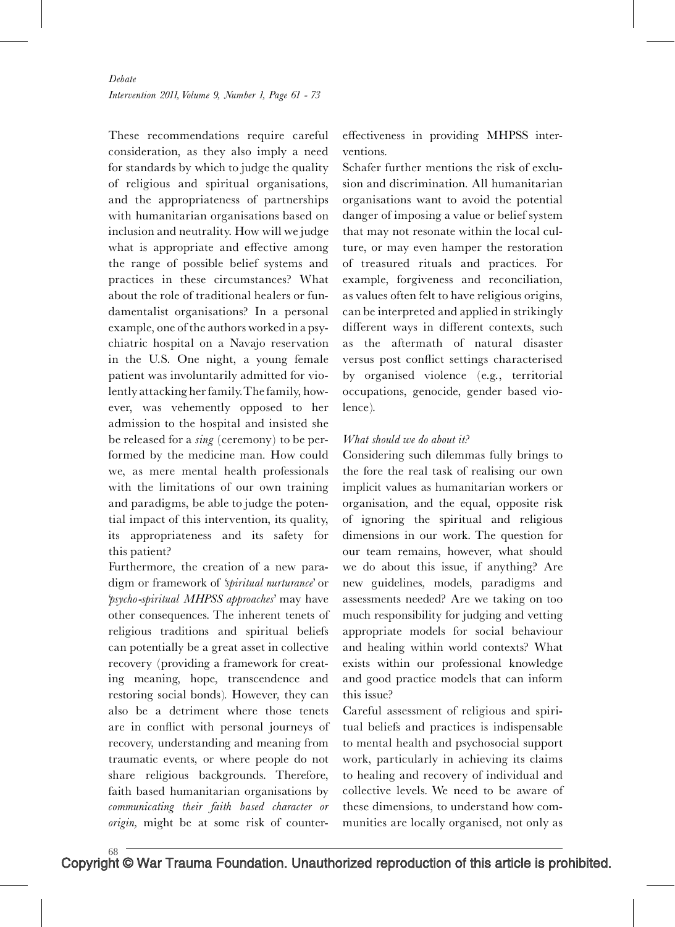These recommendations require careful consideration, as they also imply a need for standards by which to judge the quality of religious and spiritual organisations, and the appropriateness of partnerships with humanitarian organisations based on inclusion and neutrality. How will we judge what is appropriate and effective among the range of possible belief systems and practices in these circumstances? What about the role of traditional healers or fundamentalist organisations? In a personal example, one of the authors worked in a psychiatric hospital on a Navajo reservation in the U.S. One night, a young female patient was involuntarily admitted for violently attacking her family.The family, however, was vehemently opposed to her admission to the hospital and insisted she be released for a *sing* (ceremony) to be performed by the medicine man. How could we, as mere mental health professionals with the limitations of our own training and paradigms, be able to judge the potential impact of this intervention, its quality, its appropriateness and its safety for this patient?

Furthermore, the creation of a new paradigm or framework of 'spiritual nurturance' or 'psycho-spiritual MHPSS approaches' may have other consequences. The inherent tenets of religious traditions and spiritual beliefs can potentially be a great asset in collective recovery (providing a framework for creating meaning, hope, transcendence and restoring social bonds). However, they can also be a detriment where those tenets are in conflict with personal journeys of recovery, understanding and meaning from traumatic events, or where people do not share religious backgrounds. Therefore, faith based humanitarian organisations by communicating their faith based character or origin, might be at some risk of countereffectiveness in providing MHPSS interventions.

Schafer further mentions the risk of exclusion and discrimination. All humanitarian organisations want to avoid the potential danger of imposing a value or belief system that may not resonate within the local culture, or may even hamper the restoration of treasured rituals and practices. For example, forgiveness and reconciliation, as values often felt to have religious origins, can be interpreted and applied in strikingly different ways in different contexts, such as the aftermath of natural disaster versus post conflict settings characterised by organised violence (e.g., territorial occupations, genocide, gender based violence).

#### What should we do about it?

Considering such dilemmas fully brings to the fore the real task of realising our own implicit values as humanitarian workers or organisation, and the equal, opposite risk of ignoring the spiritual and religious dimensions in our work. The question for our team remains, however, what should we do about this issue, if anything? Are new guidelines, models, paradigms and assessments needed? Are we taking on too much responsibility for judging and vetting appropriate models for social behaviour and healing within world contexts? What exists within our professional knowledge and good practice models that can inform this issue?

Careful assessment of religious and spiritual beliefs and practices is indispensable to mental health and psychosocial support work, particularly in achieving its claims to healing and recovery of individual and collective levels. We need to be aware of these dimensions, to understand how communities are locally organised, not only as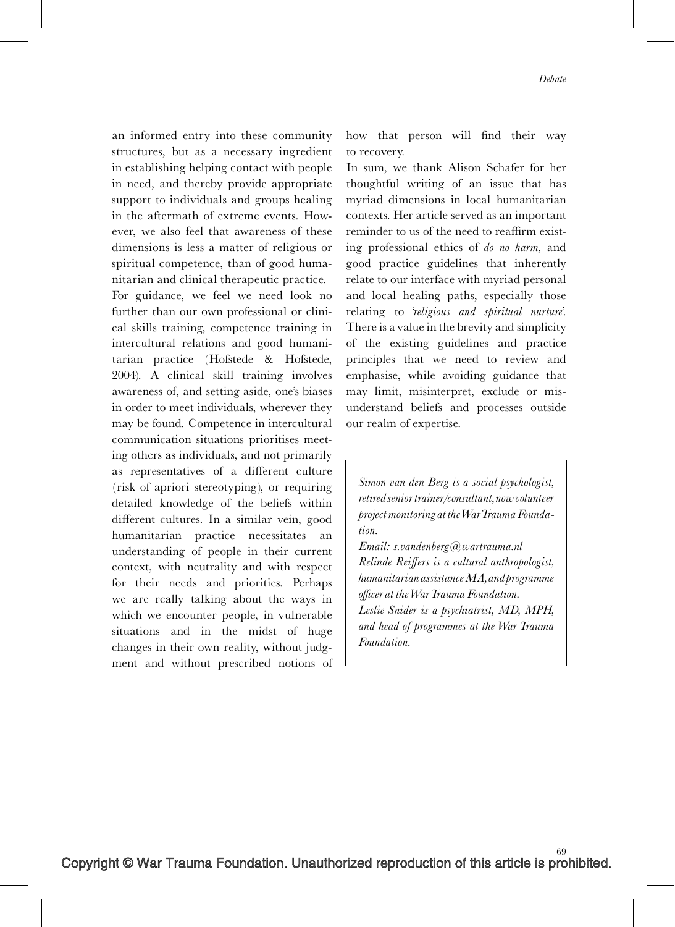an informed entry into these community structures, but as a necessary ingredient in establishing helping contact with people in need, and thereby provide appropriate support to individuals and groups healing in the aftermath of extreme events. However, we also feel that awareness of these dimensions is less a matter of religious or spiritual competence, than of good humanitarian and clinical therapeutic practice.

For guidance, we feel we need look no further than our own professional or clinical skills training, competence training in intercultural relations and good humanitarian practice ([Hofstede & Hofstede,](#page-12-0) [2004\)](#page-12-0). A clinical skill training involves awareness of, and setting aside, one's biases in order to meet individuals, wherever they may be found. Competence in intercultural communication situations prioritises meeting others as individuals, and not primarily as representatives of a different culture (risk of apriori stereotyping), or requiring detailed knowledge of the beliefs within different cultures. In a similar vein, good humanitarian practice necessitates an understanding of people in their current context, with neutrality and with respect for their needs and priorities. Perhaps we are really talking about the ways in which we encounter people, in vulnerable situations and in the midst of huge changes in their own reality, without judgment and without prescribed notions of how that person will find their way to recovery.

In sum, we thank Alison Schafer for her thoughtful writing of an issue that has myriad dimensions in local humanitarian contexts. Her article served as an important reminder to us of the need to reaffirm existing professional ethics of do no harm, and good practice guidelines that inherently relate to our interface with myriad personal and local healing paths, especially those relating to 'religious and spiritual nurture'. There is a value in the brevity and simplicity of the existing guidelines and practice principles that we need to review and emphasise, while avoiding guidance that may limit, misinterpret, exclude or misunderstand beliefs and processes outside our realm of expertise.

Simon van den Berg is a social psychologist, retired senior trainer/consultant, now volunteer project monitoring attheWarTrauma Foundation.

Email: [s.vandenberg@wartrauma.nl](mailto:s.vandenberg@wartrauma.nl) Relinde Reiffers is a cultural anthropologist,  $human$  assistance  $MA$ , and programme officer at the War Trauma Foundation. [Leslie Snider is a psychiatrist, MD, MPH,](mailto:s.vandenberg@wartrauma.nl) [and head of programmes at the War Trauma](mailto:s.vandenberg@wartrauma.nl) [Foundation.](mailto:s.vandenberg@wartrauma.nl)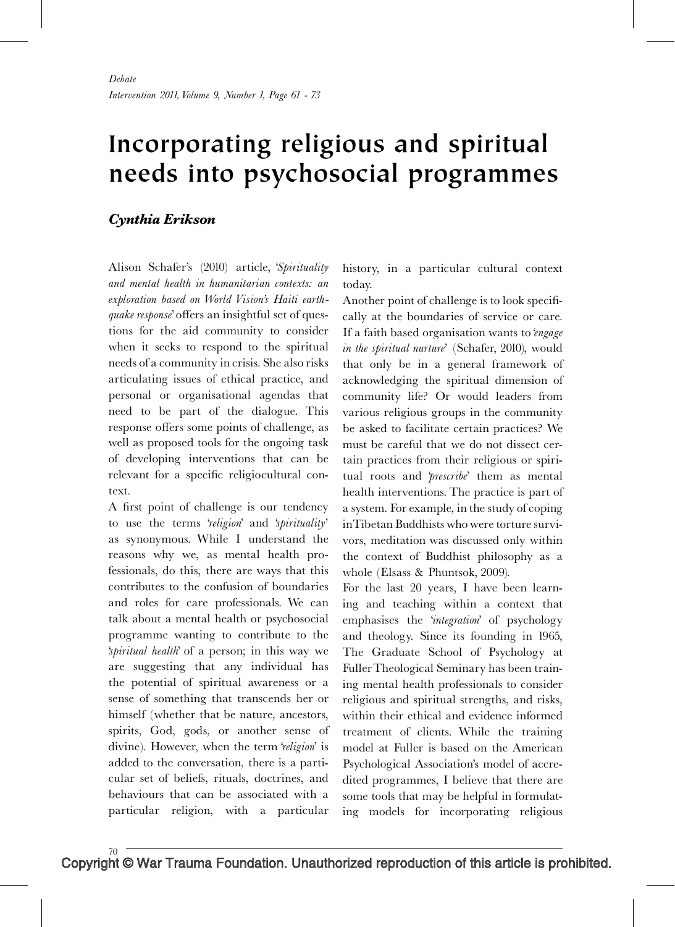## Incorporating religious and spiritual needs into psychosocial programmes

### Cynthia Erikson

Alison Schafer's (2010) article, 'Spirituality and mental health in humanitarian contexts: an exploration based on World Vision's Haiti earthquake response' offers an insightful set of questions for the aid community to consider when it seeks to respond to the spiritual needs of a community in crisis. She also risks articulating issues of ethical practice, and personal or organisational agendas that need to be part of the dialogue. This response offers some points of challenge, as well as proposed tools for the ongoing task of developing interventions that can be relevant for a specific religiocultural context.

A first point of challenge is our tendency to use the terms 'religion' and 'spirituality' as synonymous. While I understand the reasons why we, as mental health professionals, do this, there are ways that this contributes to the confusion of boundaries and roles for care professionals. We can talk about a mental health or psychosocial programme wanting to contribute to the 'spiritual health' of a person; in this way we are suggesting that any individual has the potential of spiritual awareness or a sense of something that transcends her or himself (whether that be nature, ancestors, spirits, God, gods, or another sense of divine). However, when the term 'religion' is added to the conversation, there is a particular set of beliefs, rituals, doctrines, and behaviours that can be associated with a particular religion, with a particular

history, in a particular cultural context today.

Another point of challenge is to look specifically at the boundaries of service or care. If a faith based organisation wants to 'engage in the spiritual nurture' [\(Schafer, 2010\)](#page-12-0), would that only be in a general framework of acknowledging the spiritual dimension of community life? Or would leaders from various religious groups in the community be asked to facilitate certain practices? We must be careful that we do not dissect certain practices from their religious or spiritual roots and 'prescribe' them as mental health interventions. The practice is part of a system. For example, in the study of coping inTibetan Buddhists who were torture survivors, meditation was discussed only within the context of Buddhist philosophy as a whole ([Elsass & Phuntsok, 2009\)](#page-12-0).

For the last 20 years, I have been learning and teaching within a context that emphasises the 'integration' of psychology and theology. Since its founding in 1965, The Graduate School of Psychology at FullerTheological Seminary has been training mental health professionals to consider religious and spiritual strengths, and risks, within their ethical and evidence informed treatment of clients. While the training model at Fuller is based on the American Psychological Association's model of accredited programmes, I believe that there are some tools that may be helpful in formulating models for incorporating religious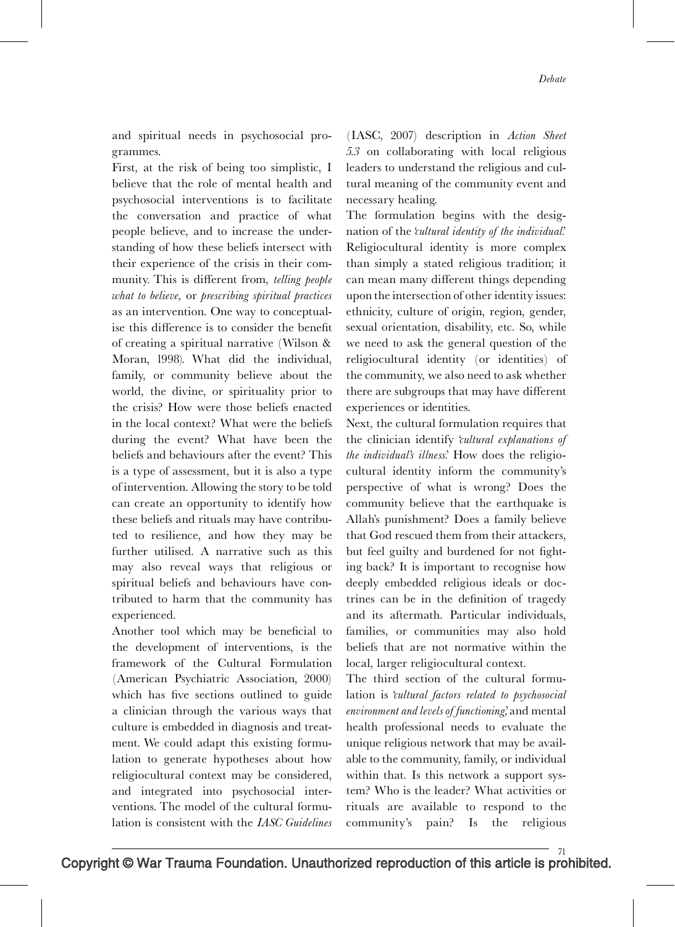and spiritual needs in psychosocial programmes.

First, at the risk of being too simplistic, I believe that the role of mental health and psychosocial interventions is to facilitate the conversation and practice of what people believe, and to increase the understanding of how these beliefs intersect with their experience of the crisis in their community. This is different from, *telling people* what to believe, or prescribing spiritual practices as an intervention. One way to conceptualise this difference is to consider the benefit of creating a spiritual narrative ([Wilson &](#page-12-0) [Moran, 1998\)](#page-12-0). What did the individual, family, or community believe about the world, the divine, or spirituality prior to the crisis? How were those beliefs enacted in the local context? What were the beliefs during the event? What have been the beliefs and behaviours after the event? This is a type of assessment, but it is also a type of intervention. Allowing the story to be told can create an opportunity to identify how these beliefs and rituals may have contributed to resilience, and how they may be further utilised. A narrative such as this may also reveal ways that religious or spiritual beliefs and behaviours have contributed to harm that the community has experienced.

Another tool which may be beneficial to the development of interventions, is the framework of the Cultural Formulation ([American Psychiatric Association, 2000\)](#page-12-0) which has five sections outlined to guide a clinician through the various ways that culture is embedded in diagnosis and treatment. We could adapt this existing formulation to generate hypotheses about how religiocultural context may be considered, and integrated into psychosocial interventions. The model of the cultural formulation is consistent with the IASC Guidelines

([IASC, 2007\)](#page-12-0) description in Action Sheet 5.3 on collaborating with local religious leaders to understand the religious and cultural meaning of the community event and necessary healing.

The formulation begins with the designation of the 'cultural identity of the individual.' Religiocultural identity is more complex than simply a stated religious tradition; it can mean many different things depending upon the intersection of other identity issues: ethnicity, culture of origin, region, gender, sexual orientation, disability, etc. So, while we need to ask the general question of the religiocultural identity (or identities) of the community, we also need to ask whether there are subgroups that may have different experiences or identities.

Next, the cultural formulation requires that the clinician identify 'cultural explanations of the individual's illness.' How does the religiocultural identity inform the community's perspective of what is wrong? Does the community believe that the earthquake is Allah's punishment? Does a family believe that God rescued them from their attackers, but feel guilty and burdened for not fighting back? It is important to recognise how deeply embedded religious ideals or doctrines can be in the definition of tragedy and its aftermath. Particular individuals, families, or communities may also hold beliefs that are not normative within the local, larger religiocultural context.

The third section of the cultural formulation is 'cultural factors related to psychosocial environment and levels of functioning,'and mental health professional needs to evaluate the unique religious network that may be available to the community, family, or individual within that. Is this network a support system? Who is the leader? What activities or rituals are available to respond to the community's pain? Is the religious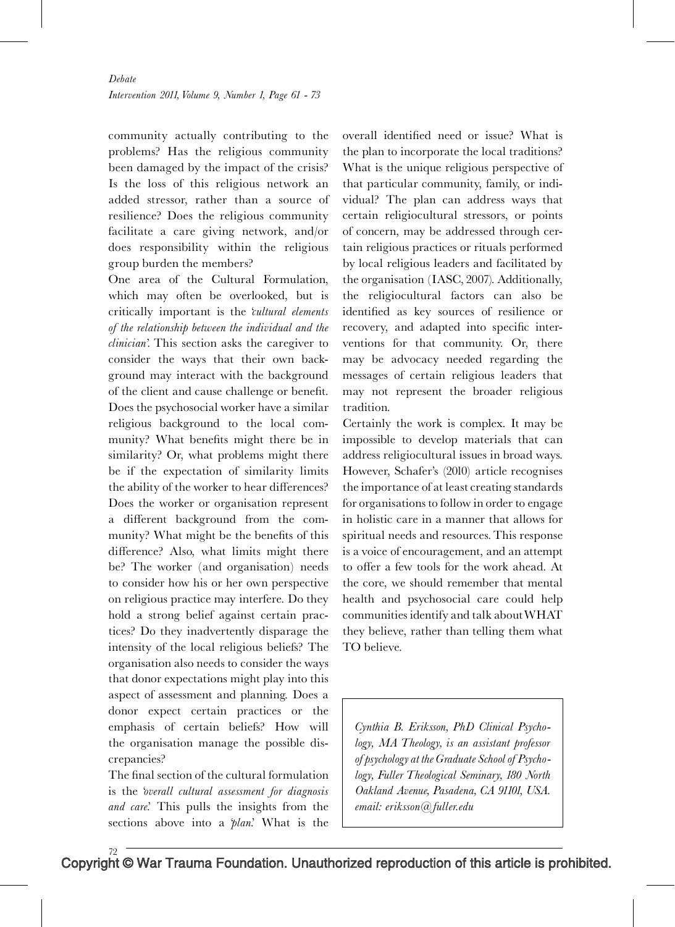community actually contributing to the problems? Has the religious community been damaged by the impact of the crisis? Is the loss of this religious network an added stressor, rather than a source of resilience? Does the religious community facilitate a care giving network, and/or does responsibility within the religious group burden the members?

One area of the Cultural Formulation, which may often be overlooked, but is critically important is the 'cultural elements of the relationship between the individual and the clinician'. This section asks the caregiver to consider the ways that their own background may interact with the background of the client and cause challenge or benefit. Does the psychosocial worker have a similar religious background to the local community? What benefits might there be in similarity? Or, what problems might there be if the expectation of similarity limits the ability of the worker to hear differences? Does the worker or organisation represent a different background from the community? What might be the benefits of this difference? Also, what limits might there be? The worker (and organisation) needs to consider how his or her own perspective on religious practice may interfere. Do they hold a strong belief against certain practices? Do they inadvertently disparage the intensity of the local religious beliefs? The organisation also needs to consider the ways that donor expectations might play into this aspect of assessment and planning. Does a donor expect certain practices or the emphasis of certain beliefs? How will the organisation manage the possible discrepancies?

The final section of the cultural formulation is the 'overall cultural assessment for diagnosis and care.' This pulls the insights from the sections above into a *plan*.' What is the

overall identi¢ed need or issue? What is the plan to incorporate the local traditions? What is the unique religious perspective of that particular community, family, or individual? The plan can address ways that certain religiocultural stressors, or points of concern, may be addressed through certain religious practices or rituals performed by local religious leaders and facilitated by the organisation ([IASC, 2007\)](#page-12-0). Additionally, the religiocultural factors can also be identified as key sources of resilience or recovery, and adapted into specific interventions for that community. Or, there may be advocacy needed regarding the messages of certain religious leaders that may not represent the broader religious tradition.

Certainly the work is complex. It may be impossible to develop materials that can address religiocultural issues in broad ways. However, Schafer's (2010) article recognises the importance of at least creating standards for organisations to follow in order to engage in holistic care in a manner that allows for spiritual needs and resources. This response is a voice of encouragement, and an attempt to offer a few tools for the work ahead. At the core, we should remember that mental health and psychosocial care could help communities identify and talk aboutWHAT they believe, rather than telling them what TO believe.

Cynthia B. Eriksson, PhD Clinical Psychology, MA Theology, is an assistant professor of psychology at the Graduate School of Psychology, Fuller Theological Seminary, 180 North Oakland Avenue, Pasadena, CA 91101, USA. email: [eriksson@fuller.edu](mailto:eriksson@fuller.edu)